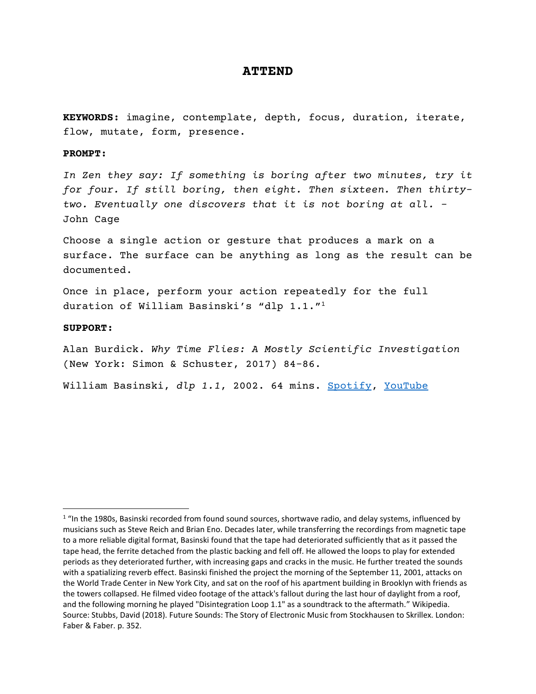## **ATTEND**

**KEYWORDS:** imagine, contemplate, depth, focus, duration, iterate, flow, mutate, form, presence.

## **PROMPT:**

*In Zen they say: If something is boring after two minutes, try it for four. If still boring, then eight. Then sixteen. Then thirtytwo. Eventually one discovers that it is not boring at all. -* John Cage

Choose a single action or gesture that produces a mark on a surface. The surface can be anything as long as the result can be documented.

Once in place, perform your action repeatedly for the full duration of William Basinski's "dlp 1.1."<sup>1</sup>

## **SUPPORT:**

Alan Burdick. *Why Time Flies: A Mostly Scientific Investigation* (New York: Simon & Schuster, 2017) 84-86.

William Basinski, *dlp 1.1*, 2002. 64 mins. [Spotify,](https://open.spotify.com/track/31FiS1jMI38kYfC8ey358W?si=f6cc4f9fa1ef4ed3) [YouTube](https://www.youtube.com/watch?v=qYOr8TlnqsY&t=33s)

 $1$  "In the 1980s, Basinski recorded from found sound sources, shortwave radio, and delay systems, influenced by musicians such as Steve Reich and Brian Eno. Decades later, while transferring the recordings from magnetic tape to a more reliable digital format, Basinski found that the tape had deteriorated sufficiently that as it passed the tape head, the ferrite detached from the plastic backing and fell off. He allowed the loops to play for extended periods as they deteriorated further, with increasing gaps and cracks in the music. He further treated the sounds with a spatializing reverb effect. Basinski finished the project the morning of the September 11, 2001, attacks on the World Trade Center in New York City, and sat on the roof of his apartment building in Brooklyn with friends as the towers collapsed. He filmed video footage of the attack's fallout during the last hour of daylight from a roof, and the following morning he played "Disintegration Loop 1.1" as a soundtrack to the aftermath." Wikipedia. Source: Stubbs, David (2018). Future Sounds: The Story of Electronic Music from Stockhausen to Skrillex. London: Faber & Faber. p. 352.